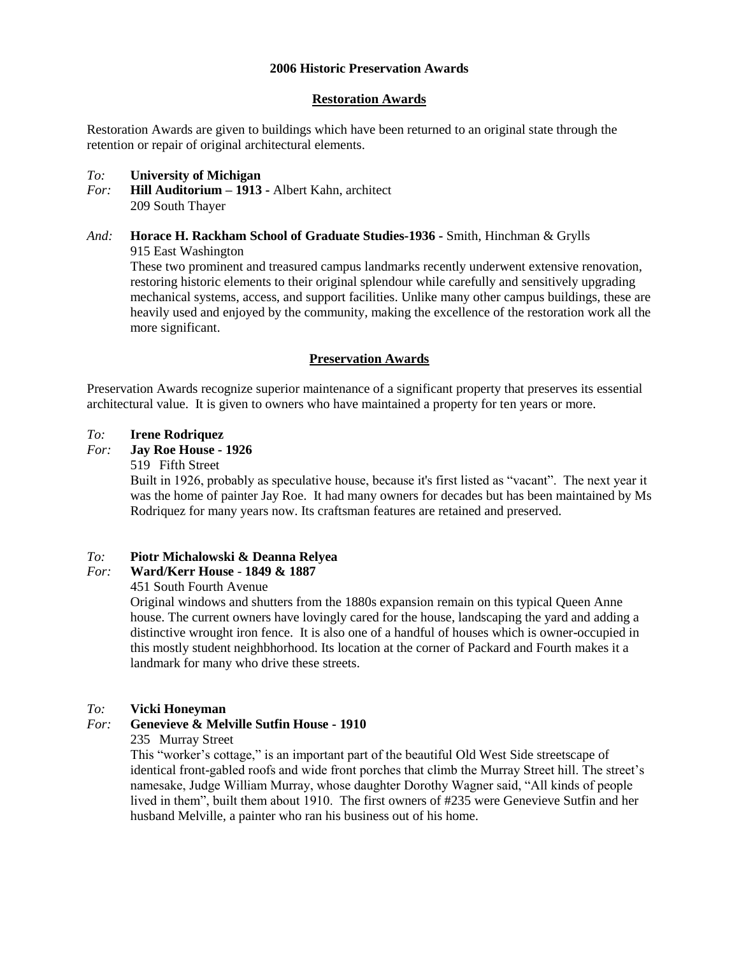### **2006 Historic Preservation Awards**

### **Restoration Awards**

Restoration Awards are given to buildings which have been returned to an original state through the retention or repair of original architectural elements.

### *To:* **University of Michigan**

- *For:* **Hill Auditorium – 1913 -** Albert Kahn, architect 209 South Thayer
- *And:* **Horace H. Rackham School of Graduate Studies-1936 -** Smith, Hinchman & Grylls 915 East Washington These two prominent and treasured campus landmarks recently underwent extensive renovation, restoring historic elements to their original splendour while carefully and sensitively upgrading mechanical systems, access, and support facilities. Unlike many other campus buildings, these are heavily used and enjoyed by the community, making the excellence of the restoration work all the more significant.

### **Preservation Awards**

Preservation Awards recognize superior maintenance of a significant property that preserves its essential architectural value. It is given to owners who have maintained a property for ten years or more.

#### *To:* **Irene Rodriquez**

- *For:* **Jay Roe House - 1926**
	- 519 Fifth Street

Built in 1926, probably as speculative house, because it's first listed as "vacant". The next year it was the home of painter Jay Roe. It had many owners for decades but has been maintained by Ms Rodriquez for many years now. Its craftsman features are retained and preserved.

# *To:* **Piotr Michalowski & Deanna Relyea**

# *For:* **Ward/Kerr House** - **1849 & 1887**

451 South Fourth Avenue

Original windows and shutters from the 1880s expansion remain on this typical Queen Anne house. The current owners have lovingly cared for the house, landscaping the yard and adding a distinctive wrought iron fence. It is also one of a handful of houses which is owner-occupied in this mostly student neighbhorhood. Its location at the corner of Packard and Fourth makes it a landmark for many who drive these streets.

### *To:* **Vicki Honeyman**

*For:* **Genevieve & Melville Sutfin House - 1910**

### 235 Murray Street

This "worker's cottage," is an important part of the beautiful Old West Side streetscape of identical front-gabled roofs and wide front porches that climb the Murray Street hill. The street's namesake, Judge William Murray, whose daughter Dorothy Wagner said, "All kinds of people lived in them", built them about 1910. The first owners of #235 were Genevieve Sutfin and her husband Melville, a painter who ran his business out of his home.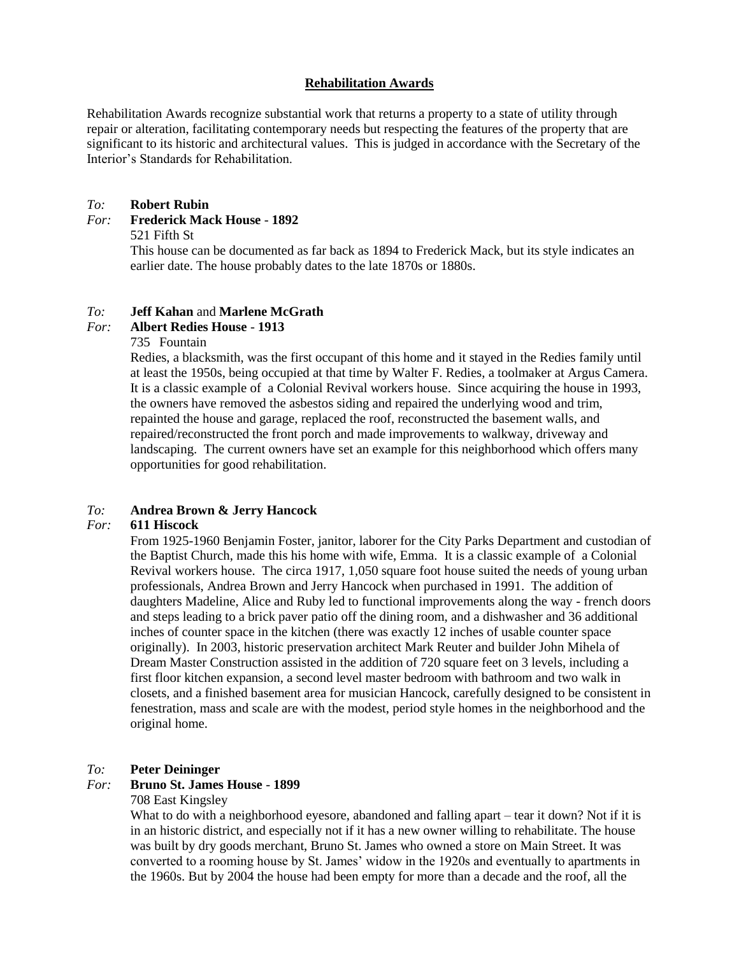### **Rehabilitation Awards**

Rehabilitation Awards recognize substantial work that returns a property to a state of utility through repair or alteration, facilitating contemporary needs but respecting the features of the property that are significant to its historic and architectural values. This is judged in accordance with the Secretary of the Interior's Standards for Rehabilitation.

### *To:* **Robert Rubin**

#### *For:* **Frederick Mack House** - **1892**

#### 521 Fifth St

This house can be documented as far back as 1894 to Frederick Mack, but its style indicates an earlier date. The house probably dates to the late 1870s or 1880s.

### *To:* **Jeff Kahan** and **Marlene McGrath**

# *For:* **Albert Redies House** - **1913**

#### 735 Fountain

Redies, a blacksmith, was the first occupant of this home and it stayed in the Redies family until at least the 1950s, being occupied at that time by Walter F. Redies, a toolmaker at Argus Camera. It is a classic example of a Colonial Revival workers house. Since acquiring the house in 1993, the owners have removed the asbestos siding and repaired the underlying wood and trim, repainted the house and garage, replaced the roof, reconstructed the basement walls, and repaired/reconstructed the front porch and made improvements to walkway, driveway and landscaping. The current owners have set an example for this neighborhood which offers many opportunities for good rehabilitation.

# *To:* **Andrea Brown & Jerry Hancock**

#### *For:* **611 Hiscock**

From 1925-1960 Benjamin Foster, janitor, laborer for the City Parks Department and custodian of the Baptist Church, made this his home with wife, Emma. It is a classic example of a Colonial Revival workers house. The circa 1917, 1,050 square foot house suited the needs of young urban professionals, Andrea Brown and Jerry Hancock when purchased in 1991. The addition of daughters Madeline, Alice and Ruby led to functional improvements along the way - french doors and steps leading to a brick paver patio off the dining room, and a dishwasher and 36 additional inches of counter space in the kitchen (there was exactly 12 inches of usable counter space originally). In 2003, historic preservation architect Mark Reuter and builder John Mihela of Dream Master Construction assisted in the addition of 720 square feet on 3 levels, including a first floor kitchen expansion, a second level master bedroom with bathroom and two walk in closets, and a finished basement area for musician Hancock, carefully designed to be consistent in fenestration, mass and scale are with the modest, period style homes in the neighborhood and the original home.

#### *To:* **Peter Deininger**

#### *For:* **Bruno St. James House** - **1899**

#### 708 East Kingsley

What to do with a neighborhood eyesore, abandoned and falling apart – tear it down? Not if it is in an historic district, and especially not if it has a new owner willing to rehabilitate. The house was built by dry goods merchant, Bruno St. James who owned a store on Main Street. It was converted to a rooming house by St. James' widow in the 1920s and eventually to apartments in the 1960s. But by 2004 the house had been empty for more than a decade and the roof, all the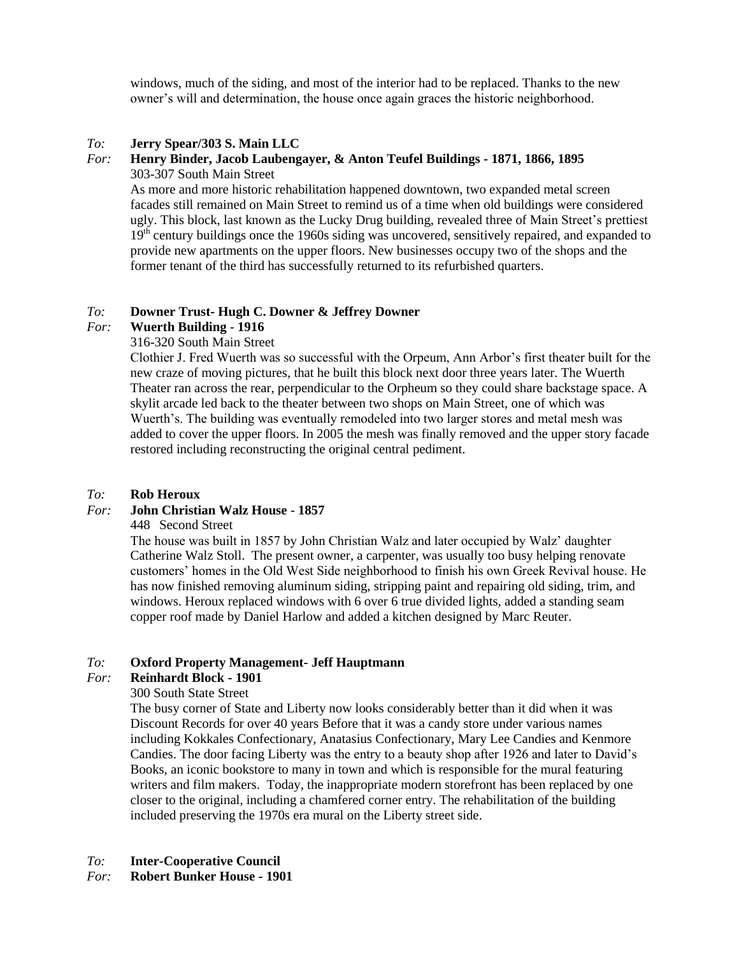windows, much of the siding, and most of the interior had to be replaced. Thanks to the new owner's will and determination, the house once again graces the historic neighborhood.

### *To:* **Jerry Spear/303 S. Main LLC**

#### *For:* **Henry Binder, Jacob Laubengayer, & Anton Teufel Buildings - 1871, 1866, 1895** 303-307 South Main Street

As more and more historic rehabilitation happened downtown, two expanded metal screen facades still remained on Main Street to remind us of a time when old buildings were considered ugly. This block, last known as the Lucky Drug building, revealed three of Main Street's prettiest 19<sup>th</sup> century buildings once the 1960s siding was uncovered, sensitively repaired, and expanded to provide new apartments on the upper floors. New businesses occupy two of the shops and the former tenant of the third has successfully returned to its refurbished quarters.

# *To:* **Downer Trust- Hugh C. Downer & Jeffrey Downer**

### *For:* **Wuerth Building** - **1916**

# 316-320 South Main Street

Clothier J. Fred Wuerth was so successful with the Orpeum, Ann Arbor's first theater built for the new craze of moving pictures, that he built this block next door three years later. The Wuerth Theater ran across the rear, perpendicular to the Orpheum so they could share backstage space. A skylit arcade led back to the theater between two shops on Main Street, one of which was Wuerth's. The building was eventually remodeled into two larger stores and metal mesh was added to cover the upper floors. In 2005 the mesh was finally removed and the upper story facade restored including reconstructing the original central pediment.

### *To:* **Rob Heroux**

# *For:* **John Christian Walz House** - **1857**

### 448 Second Street

The house was built in 1857 by John Christian Walz and later occupied by Walz' daughter Catherine Walz Stoll. The present owner, a carpenter, was usually too busy helping renovate customers' homes in the Old West Side neighborhood to finish his own Greek Revival house. He has now finished removing aluminum siding, stripping paint and repairing old siding, trim, and windows. Heroux replaced windows with 6 over 6 true divided lights, added a standing seam copper roof made by Daniel Harlow and added a kitchen designed by Marc Reuter.

### *To:* **Oxford Property Management- Jeff Hauptmann**

### *For:* **Reinhardt Block - 1901**

### 300 South State Street

The busy corner of State and Liberty now looks considerably better than it did when it was Discount Records for over 40 years Before that it was a candy store under various names including Kokkales Confectionary, Anatasius Confectionary, Mary Lee Candies and Kenmore Candies. The door facing Liberty was the entry to a beauty shop after 1926 and later to David's Books, an iconic bookstore to many in town and which is responsible for the mural featuring writers and film makers. Today, the inappropriate modern storefront has been replaced by one closer to the original, including a chamfered corner entry. The rehabilitation of the building included preserving the 1970s era mural on the Liberty street side.

### *To:* **Inter-Cooperative Council**

*For:* **Robert Bunker House - 1901**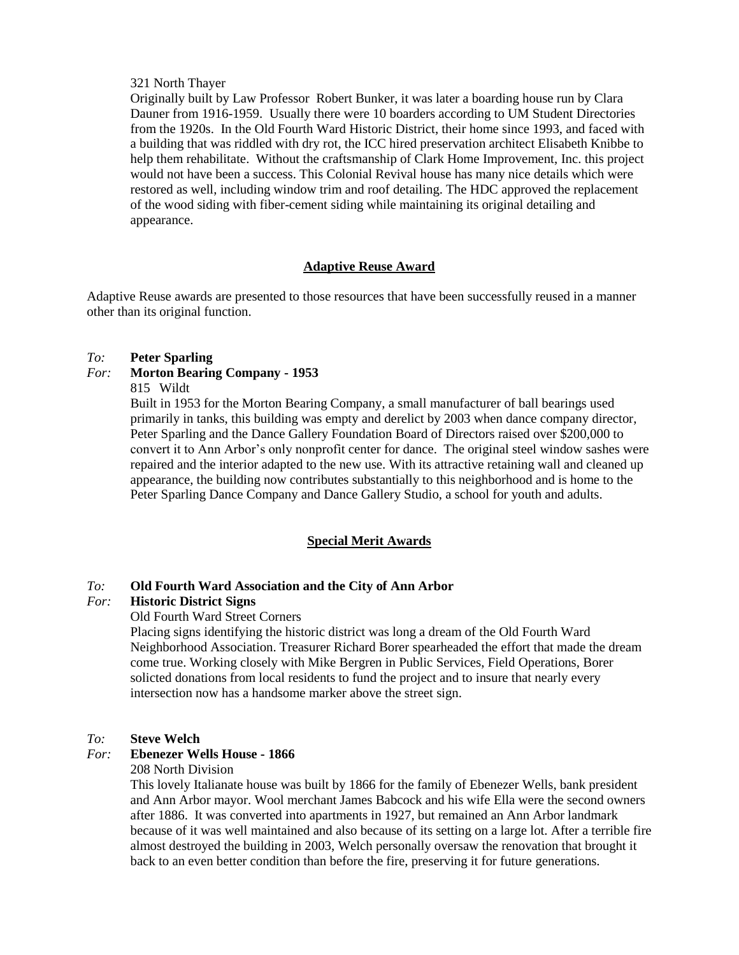#### 321 North Thayer

Originally built by Law Professor Robert Bunker, it was later a boarding house run by Clara Dauner from 1916-1959. Usually there were 10 boarders according to UM Student Directories from the 1920s. In the Old Fourth Ward Historic District, their home since 1993, and faced with a building that was riddled with dry rot, the ICC hired preservation architect Elisabeth Knibbe to help them rehabilitate. Without the craftsmanship of Clark Home Improvement, Inc. this project would not have been a success. This Colonial Revival house has many nice details which were restored as well, including window trim and roof detailing. The HDC approved the replacement of the wood siding with fiber-cement siding while maintaining its original detailing and appearance.

# **Adaptive Reuse Award**

Adaptive Reuse awards are presented to those resources that have been successfully reused in a manner other than its original function.

### *To:* **Peter Sparling**

### *For:* **Morton Bearing Company - 1953**

815 Wildt

Built in 1953 for the Morton Bearing Company, a small manufacturer of ball bearings used primarily in tanks, this building was empty and derelict by 2003 when dance company director, Peter Sparling and the Dance Gallery Foundation Board of Directors raised over \$200,000 to convert it to Ann Arbor's only nonprofit center for dance. The original steel window sashes were repaired and the interior adapted to the new use. With its attractive retaining wall and cleaned up appearance, the building now contributes substantially to this neighborhood and is home to the Peter Sparling Dance Company and Dance Gallery Studio, a school for youth and adults.

### **Special Merit Awards**

### *To:* **Old Fourth Ward Association and the City of Ann Arbor**

### *For:* **Historic District Signs**

Old Fourth Ward Street Corners

Placing signs identifying the historic district was long a dream of the Old Fourth Ward Neighborhood Association. Treasurer Richard Borer spearheaded the effort that made the dream come true. Working closely with Mike Bergren in Public Services, Field Operations, Borer solicted donations from local residents to fund the project and to insure that nearly every intersection now has a handsome marker above the street sign.

### *To:* **Steve Welch**

#### *For:* **Ebenezer Wells House - 1866**

208 North Division

This lovely Italianate house was built by 1866 for the family of Ebenezer Wells, bank president and Ann Arbor mayor. Wool merchant James Babcock and his wife Ella were the second owners after 1886. It was converted into apartments in 1927, but remained an Ann Arbor landmark because of it was well maintained and also because of its setting on a large lot. After a terrible fire almost destroyed the building in 2003, Welch personally oversaw the renovation that brought it back to an even better condition than before the fire, preserving it for future generations.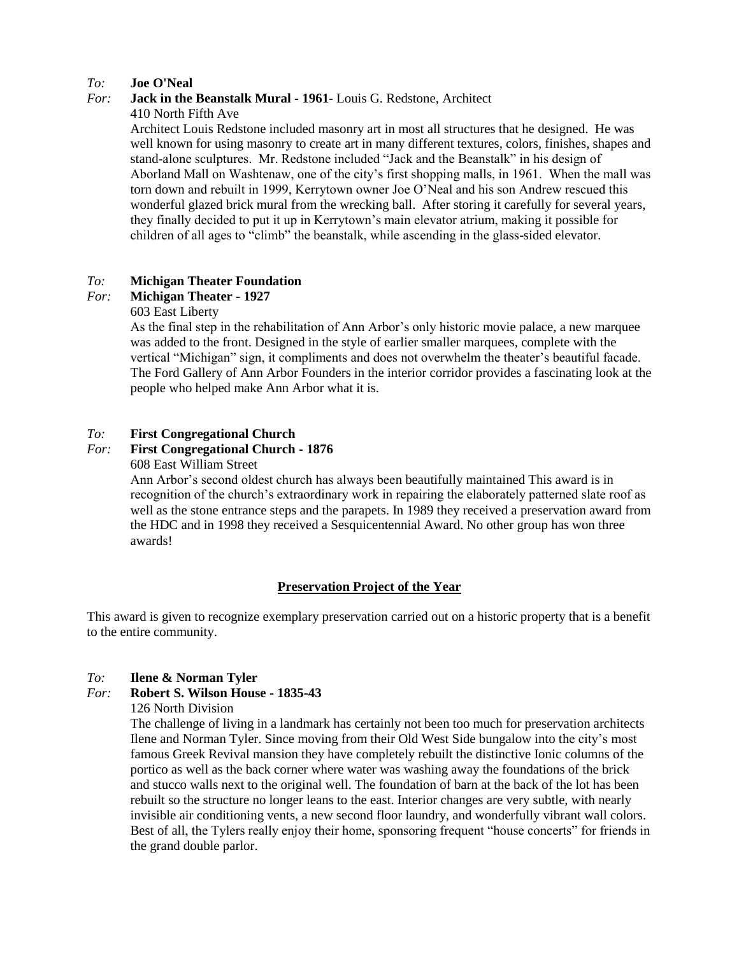### *To:* **Joe O'Neal**

### *For:* **Jack in the Beanstalk Mural - 1961**- Louis G. Redstone, Architect

#### 410 North Fifth Ave

Architect Louis Redstone included masonry art in most all structures that he designed. He was well known for using masonry to create art in many different textures, colors, finishes, shapes and stand-alone sculptures. Mr. Redstone included "Jack and the Beanstalk" in his design of Aborland Mall on Washtenaw, one of the city's first shopping malls, in 1961. When the mall was torn down and rebuilt in 1999, Kerrytown owner Joe O'Neal and his son Andrew rescued this wonderful glazed brick mural from the wrecking ball. After storing it carefully for several years, they finally decided to put it up in Kerrytown's main elevator atrium, making it possible for children of all ages to "climb" the beanstalk, while ascending in the glass-sided elevator.

## *To:* **Michigan Theater Foundation**

### *For:* **Michigan Theater - 1927**

#### 603 East Liberty

As the final step in the rehabilitation of Ann Arbor's only historic movie palace, a new marquee was added to the front. Designed in the style of earlier smaller marquees, complete with the vertical "Michigan" sign, it compliments and does not overwhelm the theater's beautiful facade. The Ford Gallery of Ann Arbor Founders in the interior corridor provides a fascinating look at the people who helped make Ann Arbor what it is.

### *To:* **First Congregational Church**

#### *For:* **First Congregational Church - 1876**

### 608 East William Street

Ann Arbor's second oldest church has always been beautifully maintained This award is in recognition of the church's extraordinary work in repairing the elaborately patterned slate roof as well as the stone entrance steps and the parapets. In 1989 they received a preservation award from the HDC and in 1998 they received a Sesquicentennial Award. No other group has won three awards!

### **Preservation Project of the Year**

This award is given to recognize exemplary preservation carried out on a historic property that is a benefit to the entire community.

#### *To:* **Ilene & Norman Tyler**

### *For:* **Robert S. Wilson House - 1835-43**

126 North Division

The challenge of living in a landmark has certainly not been too much for preservation architects Ilene and Norman Tyler. Since moving from their Old West Side bungalow into the city's most famous Greek Revival mansion they have completely rebuilt the distinctive Ionic columns of the portico as well as the back corner where water was washing away the foundations of the brick and stucco walls next to the original well. The foundation of barn at the back of the lot has been rebuilt so the structure no longer leans to the east. Interior changes are very subtle, with nearly invisible air conditioning vents, a new second floor laundry, and wonderfully vibrant wall colors. Best of all, the Tylers really enjoy their home, sponsoring frequent "house concerts" for friends in the grand double parlor.